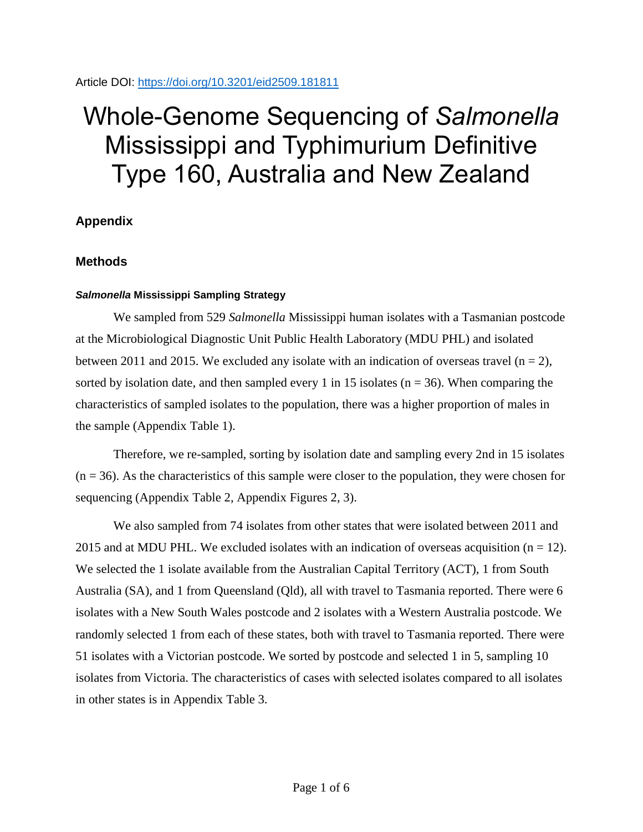Article DOI:<https://doi.org/10.3201/eid2509.181811>

# Whole-Genome Sequencing of *Salmonella* Mississippi and Typhimurium Definitive Type 160, Australia and New Zealand

## **Appendix**

## **Methods**

### *Salmonella* **Mississippi Sampling Strategy**

We sampled from 529 *Salmonella* Mississippi human isolates with a Tasmanian postcode at the Microbiological Diagnostic Unit Public Health Laboratory (MDU PHL) and isolated between 2011 and 2015. We excluded any isolate with an indication of overseas travel ( $n = 2$ ), sorted by isolation date, and then sampled every 1 in 15 isolates ( $n = 36$ ). When comparing the characteristics of sampled isolates to the population, there was a higher proportion of males in the sample (Appendix Table 1).

Therefore, we re-sampled, sorting by isolation date and sampling every 2nd in 15 isolates  $(n = 36)$ . As the characteristics of this sample were closer to the population, they were chosen for sequencing (Appendix Table 2, Appendix Figures 2, 3).

We also sampled from 74 isolates from other states that were isolated between 2011 and 2015 and at MDU PHL. We excluded isolates with an indication of overseas acquisition ( $n = 12$ ). We selected the 1 isolate available from the Australian Capital Territory (ACT), 1 from South Australia (SA), and 1 from Queensland (Qld), all with travel to Tasmania reported. There were 6 isolates with a New South Wales postcode and 2 isolates with a Western Australia postcode. We randomly selected 1 from each of these states, both with travel to Tasmania reported. There were 51 isolates with a Victorian postcode. We sorted by postcode and selected 1 in 5, sampling 10 isolates from Victoria. The characteristics of cases with selected isolates compared to all isolates in other states is in Appendix Table 3.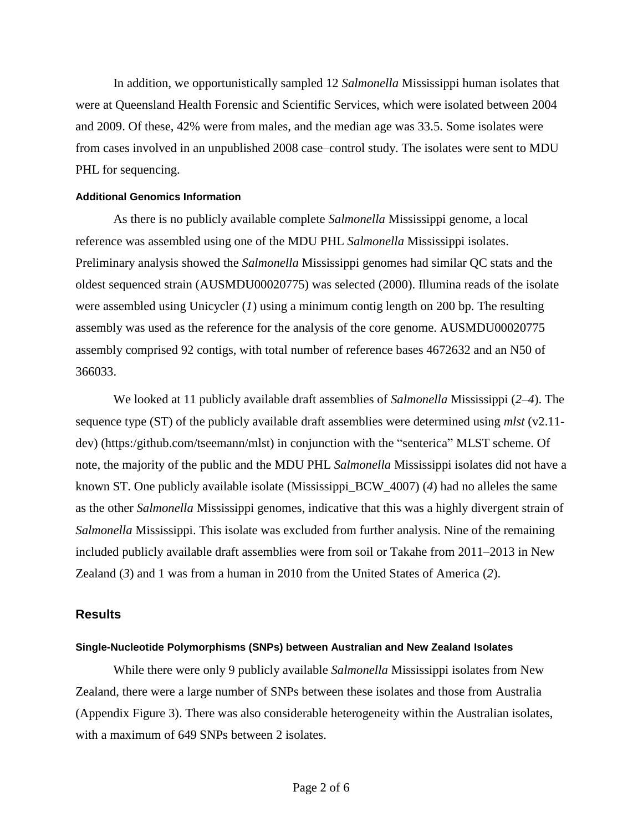In addition, we opportunistically sampled 12 *Salmonella* Mississippi human isolates that were at Queensland Health Forensic and Scientific Services, which were isolated between 2004 and 2009. Of these, 42% were from males, and the median age was 33.5. Some isolates were from cases involved in an unpublished 2008 case–control study. The isolates were sent to MDU PHL for sequencing.

#### **Additional Genomics Information**

As there is no publicly available complete *Salmonella* Mississippi genome, a local reference was assembled using one of the MDU PHL *Salmonella* Mississippi isolates. Preliminary analysis showed the *Salmonella* Mississippi genomes had similar QC stats and the oldest sequenced strain (AUSMDU00020775) was selected (2000). Illumina reads of the isolate were assembled using Unicycler (*1*) using a minimum contig length on 200 bp. The resulting assembly was used as the reference for the analysis of the core genome. AUSMDU00020775 assembly comprised 92 contigs, with total number of reference bases 4672632 and an N50 of 366033.

We looked at 11 publicly available draft assemblies of *Salmonella* Mississippi (*2*–*4*). The sequence type (ST) of the publicly available draft assemblies were determined using *mlst* (v2.11 dev) (https:/github.com/tseemann/mlst) in conjunction with the "senterica" MLST scheme. Of note, the majority of the public and the MDU PHL *Salmonella* Mississippi isolates did not have a known ST. One publicly available isolate (Mississippi\_BCW\_4007) (*4*) had no alleles the same as the other *Salmonella* Mississippi genomes, indicative that this was a highly divergent strain of *Salmonella* Mississippi. This isolate was excluded from further analysis. Nine of the remaining included publicly available draft assemblies were from soil or Takahe from 2011–2013 in New Zealand (*3*) and 1 was from a human in 2010 from the United States of America (*2*).

#### **Results**

#### **Single-Nucleotide Polymorphisms (SNPs) between Australian and New Zealand Isolates**

While there were only 9 publicly available *Salmonella* Mississippi isolates from New Zealand, there were a large number of SNPs between these isolates and those from Australia (Appendix Figure 3). There was also considerable heterogeneity within the Australian isolates, with a maximum of 649 SNPs between 2 isolates.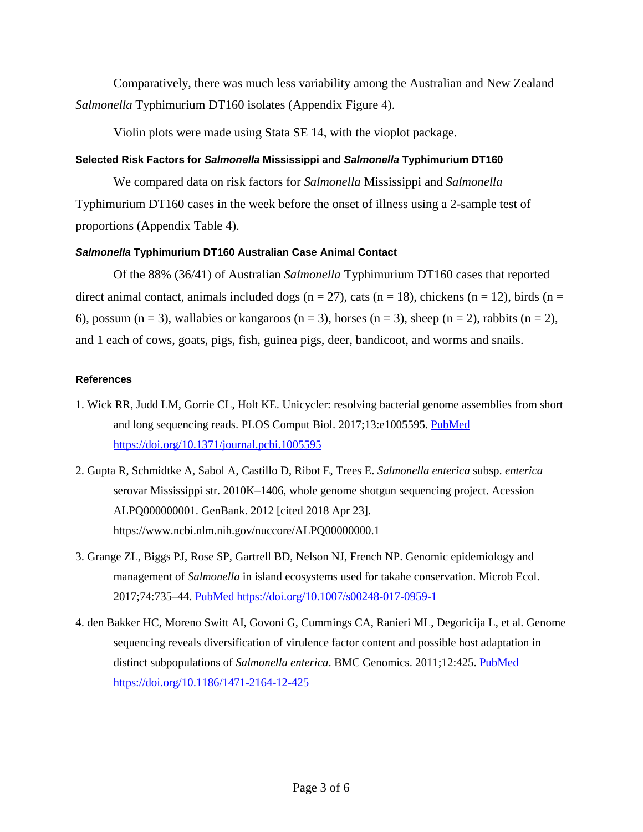Comparatively, there was much less variability among the Australian and New Zealand *Salmonella* Typhimurium DT160 isolates (Appendix Figure 4).

Violin plots were made using Stata SE 14, with the vioplot package.

#### **Selected Risk Factors for** *Salmonella* **Mississippi and** *Salmonella* **Typhimurium DT160**

We compared data on risk factors for *Salmonella* Mississippi and *Salmonella* Typhimurium DT160 cases in the week before the onset of illness using a 2-sample test of proportions (Appendix Table 4).

#### *Salmonella* **Typhimurium DT160 Australian Case Animal Contact**

Of the 88% (36/41) of Australian *Salmonella* Typhimurium DT160 cases that reported direct animal contact, animals included dogs ( $n = 27$ ), cats ( $n = 18$ ), chickens ( $n = 12$ ), birds ( $n = 12$ ) 6), possum (n = 3), wallabies or kangaroos (n = 3), horses (n = 3), sheep (n = 2), rabbits (n = 2), and 1 each of cows, goats, pigs, fish, guinea pigs, deer, bandicoot, and worms and snails.

#### **References**

- 1. Wick RR, Judd LM, Gorrie CL, Holt KE. Unicycler: resolving bacterial genome assemblies from short and long sequencing reads. PLOS Comput Biol. 2017;13:e1005595. [PubMed](https://www.ncbi.nlm.nih.gov/entrez/query.fcgi?cmd=Retrieve&db=PubMed&list_uids=28594827&dopt=Abstract) <https://doi.org/10.1371/journal.pcbi.1005595>
- 2. Gupta R, Schmidtke A, Sabol A, Castillo D, Ribot E, Trees E. *Salmonella enterica* subsp. *enterica* serovar Mississippi str. 2010K–1406, whole genome shotgun sequencing project. Acession ALPQ000000001. GenBank. 2012 [cited 2018 Apr 23]. https://www.ncbi.nlm.nih.gov/nuccore/ALPQ00000000.1
- 3. Grange ZL, Biggs PJ, Rose SP, Gartrell BD, Nelson NJ, French NP. Genomic epidemiology and management of *Salmonella* in island ecosystems used for takahe conservation. Microb Ecol. 2017;74:735–44. [PubMed](https://www.ncbi.nlm.nih.gov/entrez/query.fcgi?cmd=Retrieve&db=PubMed&list_uids=28361266&dopt=Abstract) <https://doi.org/10.1007/s00248-017-0959-1>
- 4. den Bakker HC, Moreno Switt AI, Govoni G, Cummings CA, Ranieri ML, Degoricija L, et al. Genome sequencing reveals diversification of virulence factor content and possible host adaptation in distinct subpopulations of *Salmonella enterica*. BMC Genomics. 2011;12:425. [PubMed](https://www.ncbi.nlm.nih.gov/entrez/query.fcgi?cmd=Retrieve&db=PubMed&list_uids=21859443&dopt=Abstract) <https://doi.org/10.1186/1471-2164-12-425>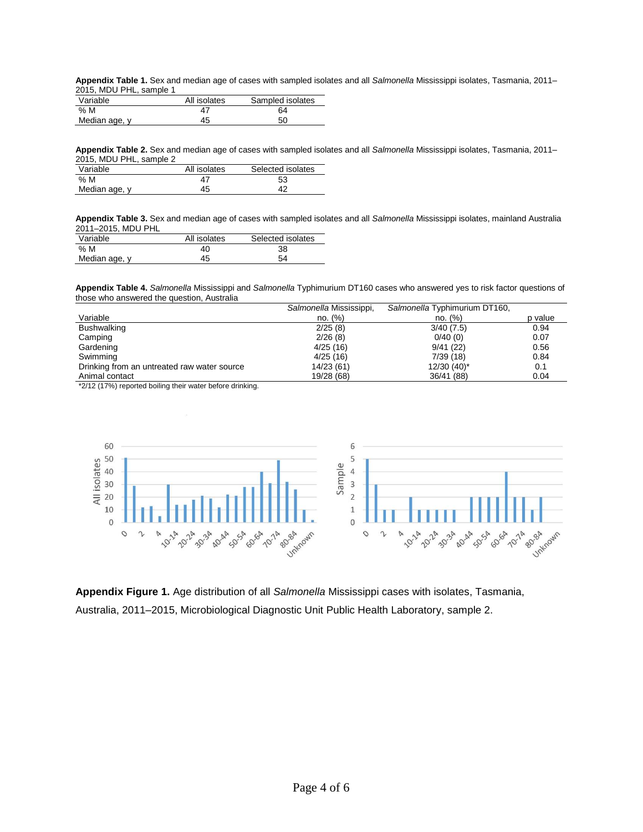**Appendix Table 1.** Sex and median age of cases with sampled isolates and all *Salmonella* Mississippi isolates, Tasmania, 2011– 2015, MDU PHL, sample 1

| Variable      | All isolates | Sampled isolates |
|---------------|--------------|------------------|
| % M           | 47           | 64               |
| Median age, y | 45           | 50               |

**Appendix Table 2.** Sex and median age of cases with sampled isolates and all *Salmonella* Mississippi isolates, Tasmania, 2011– 2015, MDU PHL, sample 2

| Variable      | All isolates | Selected isolates |  |
|---------------|--------------|-------------------|--|
| % M           | 47           | 53                |  |
| Median age, y | 45           | 42                |  |

**Appendix Table 3.** Sex and median age of cases with sampled isolates and all *Salmonella* Mississippi isolates, mainland Australia 2011–2015, MDU PHL

| Variable      | All isolates | Selected isolates |
|---------------|--------------|-------------------|
| % M           | 40           | 38                |
| Median age, y | 45           | 54                |

**Appendix Table 4.** *Salmonella* Mississippi and *Salmonella* Typhimurium DT160 cases who answered yes to risk factor questions of those who answered the question, Australia

|                                             | Salmonella Mississippi, | Salmonella Typhimurium DT160, |         |
|---------------------------------------------|-------------------------|-------------------------------|---------|
| Variable                                    | no. (%)                 | no. (%)                       | p value |
| <b>Bushwalking</b>                          | 2/25(8)                 | 3/40(7.5)                     | 0.94    |
| Camping                                     | 2/26(8)                 | 0/40(0)                       | 0.07    |
| Gardening                                   | 4/25(16)                | 9/41(22)                      | 0.56    |
| Swimming                                    | 4/25(16)                | 7/39(18)                      | 0.84    |
| Drinking from an untreated raw water source | 14/23 (61)              | $12/30$ (40) <sup>*</sup>     | 0.1     |
| Animal contact                              | 19/28 (68)              | 36/41 (88)                    | 0.04    |

\*2/12 (17%) reported boiling their water before drinking.



**Appendix Figure 1.** Age distribution of all *Salmonella* Mississippi cases with isolates, Tasmania, Australia, 2011–2015, Microbiological Diagnostic Unit Public Health Laboratory, sample 2.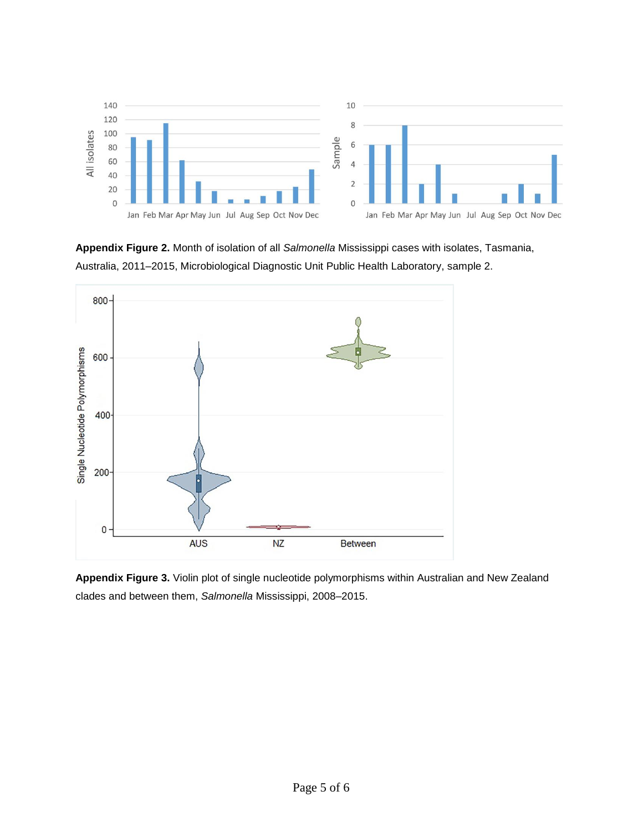

**Appendix Figure 2.** Month of isolation of all *Salmonella* Mississippi cases with isolates, Tasmania, Australia, 2011–2015, Microbiological Diagnostic Unit Public Health Laboratory, sample 2.



**Appendix Figure 3.** Violin plot of single nucleotide polymorphisms within Australian and New Zealand clades and between them, *Salmonella* Mississippi, 2008–2015.